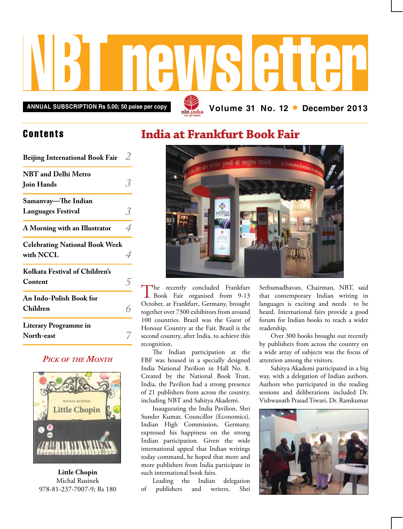# NBT newsletter

**Annual subscription Rs 5.00; 50 paise per copy Volume 31 No. 12 • December 2013**

## **Contents**

| <b>Beijing International Book Fair</b>             |  |
|----------------------------------------------------|--|
| <b>NBT</b> and Delhi Metro<br>Join Hands           |  |
| Samanvay—The Indian                                |  |
| <b>Languages Festival</b>                          |  |
| A Morning with an Illustrator                      |  |
| <b>Celebrating National Book Week</b><br>with NCCL |  |
| Kolkata Festival of Children's<br>Content          |  |
| An Indo-Polish Book for<br>Children                |  |
| <b>Literary Programme in</b><br>North-east         |  |

### *Pick of the Month*



**Little Chopin** Michal Rusinek 978-81-237-7007-9; Rs 180

## **India at Frankfurt Book Fair**



The recently concluded Frankfurt<br>Book Fair organised from 9-13 October, at Frankfurt, Germany, brought together over 7300 exhibitors from around 100 countries. Brazil was the Guest of Honour Country at the Fair. Brazil is the second country, after India, to achieve this recognition.

The Indian participation at the FBF was housed in a specially designed India National Pavilion in Hall No. 8. Created by the National Book Trust, India, the Pavilion had a strong presence of 21 publishers from across the country, including NBT and Sahitya Akademi.

Inaugurating the India Pavilion, Shri Sunder Kumar, Councillor (Economics), Indian High Commission, Germany, expressed his happiness on the strong Indian participation. Given the wide international appeal that Indian writings today command, he hoped that more and more publishers from India participate in such international book fairs.

Leading the Indian delegation of publishers and writers, Shri Sethumadhavan, Chairman, NBT, said that contemporary Indian writing in languages is exciting and needs to be heard. International fairs provide a good forum for Indian books to reach a wider readership.

Over 300 books brought out recently by publishers from across the country on a wide array of subjects was the focus of attention among the visitors.

Sahitya Akademi participated in a big way, with a delegation of Indian authors. Authors who participated in the reading sessions and deliberations included Dr. Vishwanath Prasad Tiwari, Dr. Ramkumar

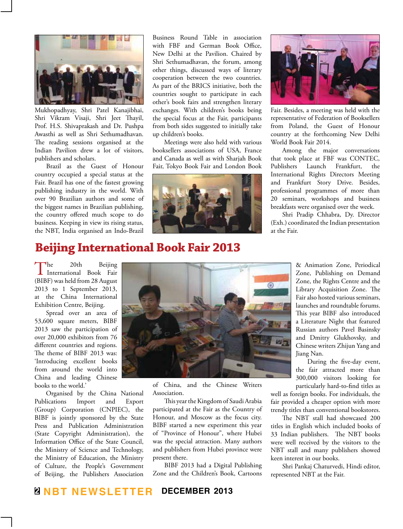

Mukhopadhyay, Shri Patel Kanajibhai, Shri Vikram Visaji, Shri Jeet Thayil, Prof. H.S. Shivaprakash and Dr. Pushpa Awasthi as well as Shri Sethumadhavan. The reading sessions organised at the Indian Pavilion drew a lot of visitors, publishers and scholars.

Brazil as the Guest of Honour country occupied a special status at the Fair. Brazil has one of the fastest growing publishing industry in the world. With over 90 Brazilian authors and some of the biggest names in Brazilian publishing, the country offered much scope to do business. Keeping in view its rising status, the NBT, India organised an Indo-Brazil

Business Round Table in association with FBF and German Book Office, New Delhi at the Pavilion. Chaired by Shri Sethumadhavan, the forum, among other things, discussed ways of literary cooperation between the two countries. As part of the BRICS initiative, both the countries sought to participate in each other's book fairs and strengthen literary exchanges. With children's books being the special focus at the Fair, participants from both sides suggested to initially take up children's books.

Meetings were also held with various booksellers associations of USA, France and Canada as well as with Sharjah Book Fair, Tokyo Book Fair and London Book





Fair. Besides, a meeting was held with the representative of Federation of Booksellers from Poland, the Guest of Honour country at the forthcoming New Delhi World Book Fair 2014.

Among the major conversations that took place at FBF was CONTEC, Publishers Launch Frankfurt, the International Rights Directors Meeting and Frankfurt Story Drive. Besides, professional programmes of more than 20 seminars, workshops and business breakfasts were organised over the week.

Shri Pradip Chhabra, Dy. Director (Exh.) coordinated the Indian presentation at the Fair.

# **Beijing International Book Fair 2013**

The 20th Beijing<br>International Book Fair (BIBF) was held from 28 August 2013 to 1 September 2013, at the China International Exhibition Centre, Beijing.

Spread over an area of 53,600 square meters, BIBF 2013 saw the participation of over 20,000 exhibitors from 76 different countries and regions. The theme of BIBF 2013 was: 'Introducing excellent books from around the world into China and leading Chinese books to the world.'

Organised by the China National Publications Import and Export (Group) Corporation (CNPIEC), the BIBF is jointly sponsored by the State Press and Publication Administration (State Copyright Administration), the Information Office of the State Council, the Ministry of Science and Technology, the Ministry of Education, the Ministry of Culture, the People's Government of Beijing, the Publishers Association



of China, and the Chinese Writers Association.

This year the Kingdom of Saudi Arabia participated at the Fair as the Country of Honour, and Moscow as the focus city. BIBF started a new experiment this year of "Province of Honour", where Hubei was the special attraction. Many authors and publishers from Hubei province were present there.

BIBF 2013 had a Digital Publishing Zone and the Children's Book, Cartoons & Animation Zone, Periodical Zone, Publishing on Demand Zone, the Rights Centre and the Library Acquisition Zone. The Fair also hosted various seminars, launches and roundtable forums. This year BIBF also introduced a Literature Night that featured Russian authors Pavel Basinsky and Dmitry Glukhovsky, and Chinese writers Zhijun Yang and Jiang Nan.

During the five-day event, the fair attracted more than 300,000 visitors looking for particularly hard-to-find titles as

well as foreign books. For individuals, the fair provided a cheaper option with more trendy titles than conventional bookstores.

The NBT stall had showcased 200 titles in English which included books of 33 Indian publishers. The NBT books were well received by the visitors to the NBT stall and many publishers showed keen interest in our books.

Shri Pankaj Chaturvedi, Hindi editor, represented NBT at the Fair.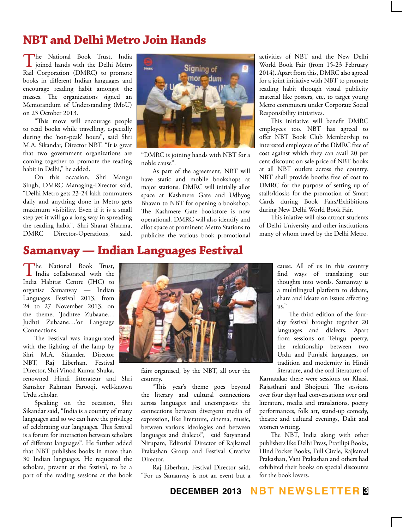## **NBT and Delhi Metro Join Hands**

The National Book Trust, India<br>joined hands with the Delhi Metro Rail Corporation (DMRC) to promote books in different Indian languages and encourage reading habit amongst the masses. The organizations signed an Memorandum of Understanding (MoU) on 23 October 2013.

"This move will encourage people to read books while travelling, especially during the 'non-peak' hours", said Shri M.A. Sikandar, Director NBT. "It is great that two government organizations are coming together to promote the reading habit in Delhi," he added.

On this occasion, Shri Mangu Singh, DMRC Managing-Director said, "Delhi Metro gets 23-24 lakh commuters daily and anything done in Metro gets maximum visibility. Even if it is a small step yet it will go a long way in spreading the reading habit". Shri Sharat Sharma, DMRC Director-Operations, said,



"DMRC is joining hands with NBT for a noble cause".

As part of the agreement, NBT will have static and mobile bookshops at major stations. DMRC will initially allot space at Kashmere Gate and Udhyog Bhavan to NBT for opening a bookshop. The Kashmere Gate bookstore is now operational. DMRC will also identify and allot space at prominent Metro Stations to publicize the various book promotional activities of NBT and the New Delhi World Book Fair (from 15-23 February 2014). Apart from this, DMRC also agreed for a joint initiative with NBT to promote reading habit through visual publicity material like posters, etc, to target young Metro commuters under Corporate Social Responsibility initiatives.

This initiative will benefit DMRC employees too. NBT has agreed to offer NBT Book Club Membership to interested employees of the DMRC free of cost against which they can avail 20 per cent discount on sale price of NBT books at all NBT outlets across the country. NBT shall provide booths free of cost to DMRC for the purpose of setting up of stalls/kiosks for the promotion of Smart Cards during Book Fairs/Exhibitions during New Delhi World Book Fair.

This iniative will also attract students of Delhi University and other institutions many of whom travel by the Delhi Metro.

## **Samanvay — Indian Languages Festival**

The National Book Trust,<br>
India collaborated with the India Habitat Centre (IHC) to organise Samanvay — Indian Languages Festival 2013, from 24 to 27 November 2013, on the theme, 'Jodhtee Zubaane… Judhti Zubaane…'or Language Connections.

The Festival was inaugurated with the lighting of the lamp by Shri M.A. Sikander, Director NBT, Raj Liberhan, Festival Director, Shri Vinod Kumar Shuka,

renowned Hindi litterateur and Shri Samsher Rahman Farooqi, well-known Urdu scholar.

Speaking on the occasion, Shri Sikandar said, "India is a country of many languages and so we can have the privilege of celebrating our languages. This festival is a forum for interaction between scholars of different languages". He further added that NBT publishes books in more than 30 Indian languages. He requested the scholars, present at the festival, to be a part of the reading sessions at the book



fairs organised, by the NBT, all over the country.

"This year's theme goes beyond the literary and cultural connections across languages and encompasses the connections between divergent media of expression, like literature, cinema, music, between various ideologies and between languages and dialects", said Satyanand Nirupam, Editorial Director of Rajkamal Prakashan Group and Festival Creative Director.

Raj Liberhan, Festival Director said, "For us Samanvay is not an event but a

cause. All of us in this country find ways of translating our thoughts into words. Samanvay is a multilingual platform to debate, share and ideate on issues affecting  $\overline{\text{us}}$ ."

The third edition of the fourday festival brought together 20 languages and dialects. Apart from sessions on Telugu poetry, the relationship between two Urdu and Punjabi languages, on tradition and modernity in Hindi literature, and the oral literatures of

Karnataka; there were sessions on Khasi, Rajasthani and Bhojpuri. The sessions over four days had conversations over oral literature, media and translations, poetry performances, folk art, stand-up comedy, theatre and cultural evenings, Dalit and women writing.

The NBT, India along with other publishers like Delhi Press, Pratilipi Books, Hind Pocket Books, Full Circle, Rajkamal Prakashan, Vani Prakashan and others had exhibited their books on special discounts for the book lovers.

### **december 2013 NBT Newsletter 3**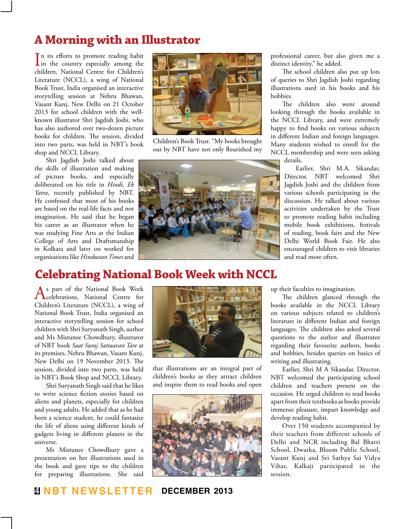# **A Morning with an Illustrator**

 $\prod$ n its efforts to promote reading habit<br>in the country especially among the n its efforts to promote reading habit children, National Centre for Children's Literature (NCCL), a wing of National Book Trust, India organised an interactive storytelling session at Nehru Bhawan, Vasant Kunj, New Delhi on 21 October 2013 for school children with the wellknown illustrator Shri Jagdish Joshi, who has also authored over two-dozen picture books for children. The session, divided into two parts, was held in NBT's book shop and NCCL Library.

Shri Jagdish Joshi talked about the skills of illustration and making of picture books, and especially deliberated on his title in *Hindi, Ek Yatra*, recently published by NBT. He confessed that most of his books are based on the real-life facts and not imagination. He said that he began his career as an illustrator when he was studying Fine Arts at the Indian College of Arts and Draftsmanship in Kolkata and later on worked for organisations like *Hindustan Times* and



Children's Book Trust. "My books brought out by NBT have not only flourished my



professional career, but also given me a distinct identity," he added.

The school children also put up lots of queries to Shri Jagdish Joshi regarding illustrations used in his books and his hobbies.

The children also went around looking through the books available in the NCCL Library, and were extremely happy to find books on various subjects in different Indian and foreign languages. Many students wished to enroll for the NCCL membership and were seen asking

details.

Earlier, Shri M.A. Sikandar, Director, NBT welcomed Shri Jagdish Joshi and the children from various schools participating in the discussion. He talked about various activities undertaken by the Trust to promote reading habit including mobile book exhibitions, festivals of reading, book fairs and the New Delhi World Book Fair. He also encouraged children to visit libraries and read more often.

## **Celebrating National Book Week with NCCL**

As part of the National Book Week<br>Celebrations, National Centre for Children's Literature (NCCL), a wing of National Book Trust, India organised an interactive storytelling session for school children with Shri Suryanath Singh, author and Ms Mistunee Chowdhury, illustrator of NBT book *Saat Suraj Sattaavan Tare* at its premises, Nehru Bhawan, Vasant Kunj, New Delhi on 19 November 2013. The session, divided into two parts, was held in NBT's Book Shop and NCCL Library.

Shri Suryanath Singh said that he likes to write science fiction stories based on aliens and planets, especially for children and young adults. He added that as he had been a science student, he could fantasize the life of aliens using different kinds of gadgets living in different planets in the universe.

Ms Mistunee Chowdhury gave a presentation on her illustrations used in the book and gave tips to the children for preparing illustrations. She said



that illustrations are an integral part of children's books as they attract children and inspire them to read books and open



up their faculties to imagination.

The children glanced through the books available in the NCCL Library on various subjects related to children's literature in different Indian and foreign languages. The children also asked several questions to the author and illustrator regarding their favourite authors, books and hobbies, besides queries on basics of writing and illustrating.

Earlier, Shri M A Sikandar, Director, NBT welcomed the participating school children and teachers present on the occasion. He urged children to read books apart from their textbooks as books provide immense pleasure, impart knowledge and develop reading habit.

Over 150 students accompanied by their teachers from different schools of Delhi and NCR including Bal Bharti School, Dwarka, Bloom Public School, Vasant Kunj and Sri Sathya Sai Vidya Vihar, Kalkaji participated in the session.

## **4 NBT Newsletter december 2013**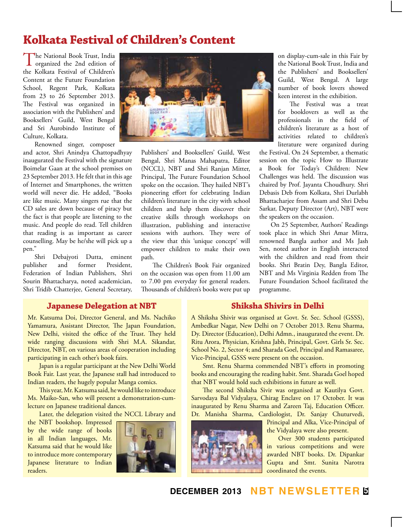## **Kolkata Festival of Children's Content**

The National Book Trust, India<br>
organized the 2nd edition of the Kolkata Festival of Children's Content at the Future Foundation School, Regent Park, Kolkata from 23 to 26 September 2013. The Festival was organized in association with the Publishers' and Booksellers' Guild, West Bengal and Sri Aurobindo Institute of Culture, Kolkata.

Renowned singer, composer

and actor, Shri Anindya Chattopadhyay inaugurated the Festival with the signature Boimelar Gaan at the school premises on 23 September 2013. He felt that in this age of Internet and Smartphones, the written world will never die. He added, "Books are like music. Many singers rue that the CD sales are down because of piracy but the fact is that people are listening to the music. And people do read. Tell children that reading is as important as career counselling. May be he/she will pick up a pen."

Shri Debajyoti Dutta, eminent publisher and former President, Federation of Indian Publishers, Shri Sourin Bhattacharya, noted academician, Shri Tridib Chatterjee, General Secretary,



Publishers' and Booksellers' Guild, West Bengal, Shri Manas Mahapatra, Editor (NCCL), NBT and Shri Ranjan Mitter, Principal, The Future Foundation School spoke on the occasion. They hailed NBT's pioneering effort for celebrating Indian children's literature in the city with school children and help them discover their creative skills through workshops on illustration, publishing and interactive sessions with authors. They were of the view that this 'unique concept' will empower children to make their own path.

The Children's Book Fair organized on the occasion was open from 11.00 am to 7.00 pm everyday for general readers. Thousands of children's books were put up

on display-cum-sale in this Fair by the National Book Trust, India and the Publishers' and Booksellers' Guild, West Bengal. A large number of book lovers showed keen interest in the exhibition.

The Festival was a treat for booklovers as well as the professionals in the field of children's literature as a host of activities related to children's literature were organized during

the Festival. On 24 September, a thematic session on the topic How to Illustrate a Book for Today's Children: New Challenges was held. The discussion was chaired by Prof. Jayanta Choudhury. Shri Debasis Deb from Kolkata, Shri Durlabh Bhattacharjee from Assam and Shri Debu Sarkar, Deputy Director (Art), NBT were the speakers on the occasion.

On 25 September, Authors' Readings took place in which Shri Amar Mitra, renowned Bangla author and Ms Jash Sen, noted author in English interacted with the children and read from their books. Shri Bratin Dey, Bangla Editor, NBT and Ms Virginia Redden from The Future Foundation School facilitated the programme.

#### **Japanese Delegation at NBT**

Mr. Katsuma Doi, Director General, and Ms. Nachiko Yamamura, Assistant Director, The Japan Foundation, New Delhi, visited the office of the Trust. They held wide ranging discussions with Shri M.A. Sikandar, Director, NBT, on various areas of cooperation including participating in each other's book fairs.

Japan is a regular participant at the New Delhi World Book Fair. Last year, the Japanese stall had introduced to Indian readers, the hugely popular Manga comics.

This year, Mr. Katsuma said, he would like to introduce Ms. Maiko-San, who will present a demonstration-cumlecture on Japanese traditional dances.

Later, the delegation visited the NCCL Library and

the NBT bookshop. Impressed by the wide range of books in all Indian languages, Mr. Katsuma said that he would like to introduce more contemporary Japanese literature to Indian readers.



#### **Shiksha Shivirs in Delhi**

A Shiksha Shivir was organised at Govt. Sr. Sec. School (GSSS), Ambedkar Nagar, New Delhi on 7 October 2013. Renu Sharma, Dy. Director (Education), Delhi Admn., inaugurated the event. Dr. Ritu Arora, Physician, Krishna Jabh, Principal, Govt. Girls Sr. Sec. School No. 2, Sector 4; and Sharada Goel, Principal and Ramasaree, Vice-Principal, GSSS were present on the occasion.

Smt. Renu Sharma commended NBT's efforts in promoting books and encouraging the reading habit. Smt. Sharada Goel hoped that NBT would hold such exhibitions in future as well.

The second Shiksha Sivir was organised at Kautilya Govt. Sarvodaya Bal Vidyalaya, Chirag Enclave on 17 October. It was inaugurated by Renu Sharma and Zareen Taj, Education Officer. Dr. Manisha Sharma, Cardiologist, Dr. Sanjay Chuturvedi,

Principal and Alka, Vice-Principal of the Vidyalaya were also present.

Over 300 students participated in various competitions and were awarded NBT books. Dr. Dipankar Gupta and Smt. Sunita Narotra coordinated the events.

**december 2013 NBT Newsletter 5**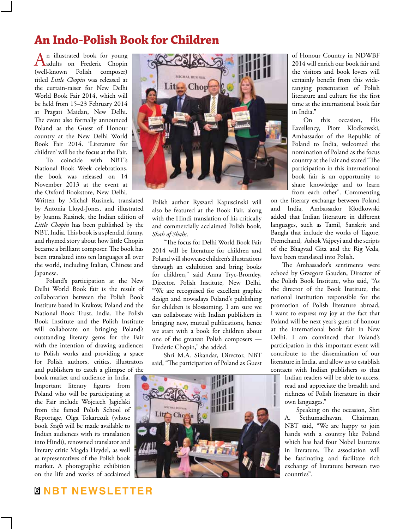# **An Indo-Polish Book for Children**

An illustrated book for young<br>adults on Frederic Chopin (well-known Polish composer) titled *Little Chopin* was released at the curtain-raiser for New Delhi World Book Fair 2014, which will be held from 15–23 February 2014 at Pragati Maidan, New Delhi. The event also formally announced Poland as the Guest of Honour country at the New Delhi World Book Fair 2014. 'Literature for children' will be the focus at the Fair.

To coincide with NBT's National Book Week celebrations, the book was released on 14 November 2013 at the event at the Oxford Bookstore, New Delhi.

Written by Michał Rusinek, translated by Antonia Lloyd-Jones, and illustrated by Joanna Rusinek, the Indian edition of *Little Chopin* has been published by the NBT, India. This book is a splendid, funny, and rhymed story about how little Chopin became a brilliant composer. The book has been translated into ten languages all over the world, including Italian, Chinese and Japanese.

Poland's participation at the New Delhi World Book fair is the result of collaboration between the Polish Book Institute based in Krakow, Poland and the National Book Trust, India. The Polish Book Institute and the Polish Institute will collaborate on bringing Poland's outstanding literary gems for the Fair with the intention of drawing audiences to Polish works and providing a space for Polish authors, critics, illustrators and publishers to catch a glimpse of the

book market and audience in India. Important literary figures from Poland who will be participating at the Fair include Wojciech Jagielski from the famed Polish School of Reportage, Olga Tokarczuk (whose book *Szafa* will be made available to Indian audiences with its translation into Hindi), renowned translator and literary critic Magda Heydel, as well as representatives of the Polish book market. A photographic exhibition on the life and works of acclaimed



Polish author Ryszard Kapuscinski will also be featured at the Book Fair, along with the Hindi translation of his critically and commercially acclaimed Polish book, *Shah of Shahs*.

"The focus for Delhi World Book Fair 2014 will be literature for children and Poland will showcase children's illustrations through an exhibition and bring books for children," said Anna Tryc-Bromley, Director, Polish Institute, New Delhi. "We are recognised for excellent graphic design and nowadays Poland's publishing for children is blossoming. I am sure we can collaborate with Indian publishers in bringing new, mutual publications, hence we start with a book for children about one of the greatest Polish composers — Frederic Chopin," she added.

Shri M.A. Sikandar, Director, NBT said, "The participation of Poland as Guest



of Honour Country in NDWBF 2014 will enrich our book fair and the visitors and book lovers will certainly benefit from this wideranging presentation of Polish literature and culture for the first time at the international book fair in India."

On this occasion, His Excellency, Piotr Kłodkowski, Ambassador of the Republic of Poland to India, welcomed the nomination of Poland as the focus country at the Fair and stated "The participation in this international book fair is an opportunity to share knowledge and to learn from each other". Commenting

on the literary exchange between Poland and India, Ambassador Kłodkowski added that Indian literature in different languages, such as Tamil, Sanskrit and Bangla that include the works of Tagore, Premchand, Ashok Vajpeyi and the scripts of the Bhagvad Gita and the Rig Veda, have been translated into Polish.

The Ambassador's sentiments were echoed by Grzegorz Gauden, Director of the Polish Book Institute, who said, "As the director of the Book Institute, the national institution responsible for the promotion of Polish literature abroad, I want to express my joy at the fact that Poland will be next year's guest of honour at the international book fair in New Delhi. I am convinced that Poland's participation in this important event will contribute to the dissemination of our literature in India, and allow us to establish contacts with Indian publishers so that

Indian readers will be able to access, read and appreciate the breadth and richness of Polish literature in their own languages."

Speaking on the occasion, Shri A. Sethumadhavan, Chairman, NBT said, "We are happy to join hands with a country like Poland which has had four Nobel laureates in literature. The association will be fascinating and facilitate rich exchange of literature between two countries".

## **6 NBT Newsletter**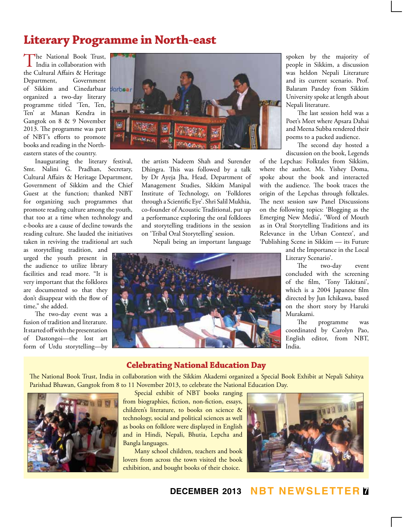# **Literary Programme in North-east**

 $\prod_{\text{India in collaboration with}}$ the Cultural Affairs & Heritage Department, Government of Sikkim and Cinedarbaar organized a two-day literary programme titled 'Ten, Ten, Ten' at Manan Kendra in Gangtok on 8 & 9 November 2013. The programme was part of NBT's efforts to promote books and reading in the Northeastern states of the country.

Inaugurating the literary festival, Smt. Nalini G. Pradhan, Secretary, Cultural Affairs & Heritage Department, Government of Sikkim and the Chief Guest at the function; thanked NBT for organizing such programmes that promote reading culture among the youth, that too at a time when technology and e-books are a cause of decline towards the reading culture. She lauded the initiatives taken in reviving the traditional art such

as storytelling tradition, and urged the youth present in the audience to utilize library facilities and read more. "It is very important that the folklores are documented so that they don't disappear with the flow of time," she added.

The two-day event was a fusion of tradition and literature. It started off with the presentation of Dastongoi—the lost art form of Urdu storytelling—by



the artists Nadeem Shah and Surender Dhingra. This was followed by a talk by Dr Ayeja Jha, Head, Department of Management Studies, Sikkim Manipal Institute of Technology, on 'Folklores through a Scientific Eye'. Shri Salil Mukhia, co-founder of Acoustic Traditional, put up a performance exploring the oral folklores and storytelling traditions in the session on 'Tribal Oral Storytelling' session.

Nepali being an important language



spoken by the majority of people in Sikkim, a discussion was heldon Nepali Literature and its current scenario. Prof. Balaram Pandey from Sikkim University spoke at length about Nepali literature.

The last session held was a Poet's Meet where Apsara Dahai and Meena Subba rendered their poems to a packed audience.

The second day hosted a discussion on the book, Legends

of the Lepchas: Folktales from Sikkim, where the author, Ms. Yishey Doma, spoke about the book and interacted with the audience. The book traces the origin of the Lepchas through folktales. The next session saw Panel Discussions on the following topics: 'Blogging as the Emerging New Media', 'Word of Mouth as in Oral Storytelling Traditions and its Relevance in the Urban Context', and 'Publishing Scene in Sikkim — its Future

> and the Importance in the Local Literary Scenario'.

The two-day event concluded with the screening of the film, 'Tony Takitani', which is a 2004 Japanese film directed by Jun Ichikawa, based on the short story by Haruki Murakami.

The programme was coordinated by Carolyn Pao, English editor, from NBT, India.

#### **Celebrating National Education Day**

The National Book Trust, India in collaboration with the Sikkim Akademi organized a Special Book Exhibit at Nepali Sahitya Parishad Bhawan, Gangtok from 8 to 11 November 2013, to celebrate the National Education Day.



Special exhibit of NBT books ranging from biographies, fiction, non-fiction, essays, children's literature, to books on science & technology, social and political sciences as well as books on folklore were displayed in English and in Hindi, Nepali, Bhutia, Lepcha and Bangla languages.

Many school children, teachers and book lovers from across the town visited the book exhibition, and bought books of their choice.



**december 2013 NBT Newsletter 7**